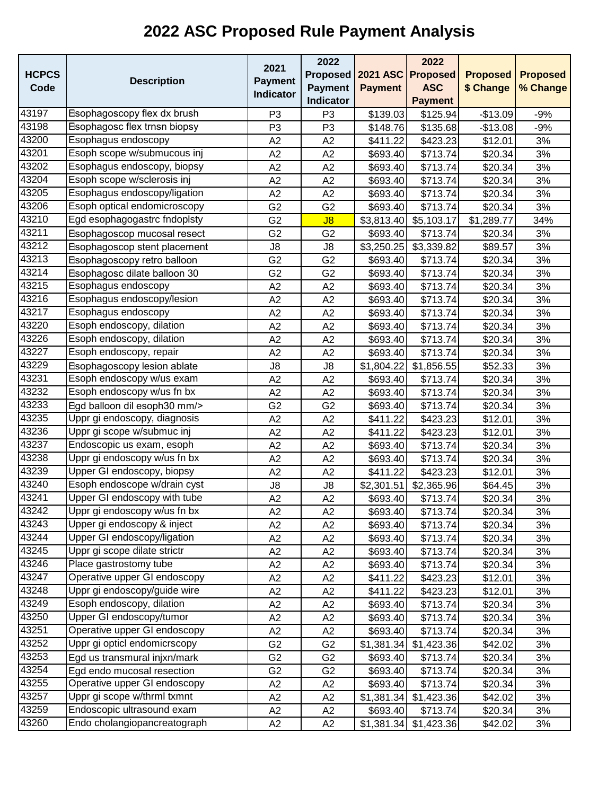| <b>HCPCS</b><br><b>Proposed</b><br><b>2021 ASC</b><br><b>Proposed</b><br><b>Proposed</b><br><b>Proposed</b><br><b>Description</b><br><b>Payment</b><br><b>Payment</b><br><b>ASC</b><br>\$ Change<br>% Change<br>Code<br><b>Payment</b><br><b>Indicator</b><br>Indicator<br><b>Payment</b><br>Esophagoscopy flex dx brush<br>P <sub>3</sub><br>P <sub>3</sub><br>\$139.03<br>\$125.94<br>$-$13.09$<br>$-9%$<br>Esophagosc flex trnsn biopsy<br>P <sub>3</sub><br>P <sub>3</sub><br>\$135.68<br>\$148.76<br>$-$13.08$<br>$-9%$<br>Esophagus endoscopy<br>A2<br>A2<br>\$411.22<br>\$423.23<br>\$12.01<br>3%<br>Esoph scope w/submucous inj<br>A <sub>2</sub><br>3%<br>A2<br>\$693.40<br>\$713.74<br>\$20.34<br>Esophagus endoscopy, biopsy<br>3%<br>A2<br>A2<br>\$693.40<br>\$713.74<br>\$20.34<br>43204<br>Esoph scope w/sclerosis inj<br>A2<br>\$693.40<br>3%<br>A2<br>\$713.74<br>\$20.34<br>43205<br>Esophagus endoscopy/ligation<br>A2<br>A2<br>\$713.74<br>3%<br>\$693.40<br>\$20.34<br>Esoph optical endomicroscopy<br>\$713.74<br>3%<br>G <sub>2</sub><br>G <sub>2</sub><br>\$693.40<br>\$20.34<br>Egd esophagogastrc fndoplsty<br>G <sub>2</sub><br>J8<br>\$3,813.40<br>\$5,103.17<br>\$1,289.77<br>34%<br>\$713.74<br>3%<br>Esophagoscop mucosal resect<br>G <sub>2</sub><br>G <sub>2</sub><br>\$693.40<br>\$20.34<br>J8<br>J8<br>\$3,339.82<br>3%<br>Esophagoscop stent placement<br>\$3,250.25<br>\$89.57<br>G <sub>2</sub><br>G <sub>2</sub><br>3%<br>Esophagoscopy retro balloon<br>\$693.40<br>\$713.74<br>\$20.34<br>Esophagosc dilate balloon 30<br>G <sub>2</sub><br>G <sub>2</sub><br>\$693.40<br>\$713.74<br>\$20.34<br>3%<br>Esophagus endoscopy<br>3%<br>A2<br>A2<br>\$693.40<br>\$713.74<br>\$20.34<br>Esophagus endoscopy/lesion<br>A2<br>3%<br>A2<br>\$693.40<br>\$713.74<br>\$20.34<br>43217<br>Esophagus endoscopy<br>3%<br>A2<br>A2<br>\$693.40<br>\$713.74<br>\$20.34<br>43220<br>Esoph endoscopy, dilation<br>A2<br>A2<br>\$713.74<br>3%<br>\$693.40<br>\$20.34<br>Esoph endoscopy, dilation<br>\$713.74<br>3%<br>A2<br>A2<br>\$693.40<br>\$20.34<br>Esoph endoscopy, repair<br>3%<br>A2<br>A2<br>\$693.40<br>\$713.74<br>\$20.34<br>43229<br>Esophagoscopy lesion ablate<br>J8<br>J8<br>\$1,804.22<br>\$1,856.55<br>\$52.33<br>3%<br>43231<br>Esoph endoscopy w/us exam<br>A2<br>A2<br>\$693.40<br>3%<br>\$713.74<br>\$20.34<br>43232<br>Esoph endoscopy w/us fn bx<br>3%<br>A <sub>2</sub><br>A2<br>\$693.40<br>\$713.74<br>\$20.34<br>43233<br>Egd balloon dil esoph30 mm/><br>\$713.74<br>G <sub>2</sub><br>G <sub>2</sub><br>\$693.40<br>\$20.34<br>3%<br>43235<br>Uppr gi endoscopy, diagnosis<br>3%<br>A2<br>A2<br>\$411.22<br>\$423.23<br>\$12.01<br>43236<br>Uppr gi scope w/submuc inj<br>3%<br>A2<br>A2<br>\$411.22<br>\$423.23<br>\$12.01<br>43237<br>Endoscopic us exam, esoph<br>A2<br>\$693.40<br>3%<br>A <sub>2</sub><br>\$713.74<br>\$20.34<br>43238<br>Uppr gi endoscopy w/us fn bx<br>3%<br>A <sub>2</sub><br>A <sub>2</sub><br>\$693.40<br>\$713.74<br>\$20.34<br>Upper GI endoscopy, biopsy<br>A2<br>\$411.22<br>$\overline{$}423.23$<br>3%<br>A2<br>\$12.01<br>43240<br>Esoph endoscope w/drain cyst<br>\$2,301.51<br>3%<br>J8<br>\$2,365.96<br>J8<br>\$64.45<br>43241<br>Upper GI endoscopy with tube<br>A2<br>A2<br>3%<br>\$693.40<br>\$713.74<br>\$20.34<br>43242<br>Uppr gi endoscopy w/us fn bx<br>\$693.40<br>3%<br>A2<br>A <sub>2</sub><br>\$713.74]<br>\$20.34<br>Upper gi endoscopy & inject<br>A <sub>2</sub><br>A <sub>2</sub><br>\$693.40<br>\$713.74<br>\$20.34<br>3%<br>Upper GI endoscopy/ligation<br>A2<br>A2<br>\$693.40<br>\$713.74<br>\$20.34<br>3%<br>43245<br>Uppr gi scope dilate strictr<br>A2<br>\$693.40<br>\$20.34<br>3%<br>A <sub>2</sub><br>\$713.74<br>Place gastrostomy tube<br>43246<br>A2<br>\$20.34<br>3%<br>A <sub>2</sub><br>\$693.40<br>\$713.74<br>Operative upper GI endoscopy<br>43247<br>3%<br>A2<br>A <sub>2</sub><br>\$411.22<br>\$423.23<br>\$12.01<br>43248<br>Uppr gi endoscopy/guide wire<br>A <sub>2</sub><br>A <sub>2</sub><br>\$411.22<br>\$423.23<br>\$12.01<br>3%<br>Esoph endoscopy, dilation<br>43249<br>A2<br>A2<br>\$693.40<br>\$713.74<br>3%<br>\$20.34<br>43250<br>Upper GI endoscopy/tumor<br>3%<br>A2<br>\$693.40<br>\$713.74<br>\$20.34<br>A <sub>2</sub><br>Operative upper GI endoscopy<br>43251<br>A2<br>A2<br>\$693.40<br>\$713.74<br>\$20.34<br>3%<br>43252<br>Uppr gi opticl endomicrscopy<br>G <sub>2</sub><br>\$1,423.36<br>3%<br>G <sub>2</sub><br>\$1,381.34<br>\$42.02<br>43253<br>Egd us transmural injxn/mark<br>G <sub>2</sub><br>\$713.74<br>G <sub>2</sub><br>\$693.40<br>\$20.34<br>3%<br>43254<br>Egd endo mucosal resection<br>G <sub>2</sub><br>G <sub>2</sub><br>\$693.40<br>\$713.74<br>\$20.34<br>3%<br>43255<br>Operative upper GI endoscopy<br>\$693.40<br>\$713.74<br>\$20.34<br>3%<br>A <sub>2</sub><br>A <sub>2</sub><br>43257<br>Uppr gi scope w/thrml txmnt<br>A <sub>2</sub><br>A <sub>2</sub><br>\$1,381.34<br>\$1,423.36<br>\$42.02<br>3%<br>Endoscopic ultrasound exam<br>43259<br>A2<br>\$693.40<br>\$713.74<br>\$20.34<br>3%<br>A <sub>2</sub><br>Endo cholangiopancreatograph<br>\$1,381.34<br>\$1,423.36<br>\$42.02<br>A2<br>A <sub>2</sub><br>3% |       |      | 2022 | 2022 |  |
|------------------------------------------------------------------------------------------------------------------------------------------------------------------------------------------------------------------------------------------------------------------------------------------------------------------------------------------------------------------------------------------------------------------------------------------------------------------------------------------------------------------------------------------------------------------------------------------------------------------------------------------------------------------------------------------------------------------------------------------------------------------------------------------------------------------------------------------------------------------------------------------------------------------------------------------------------------------------------------------------------------------------------------------------------------------------------------------------------------------------------------------------------------------------------------------------------------------------------------------------------------------------------------------------------------------------------------------------------------------------------------------------------------------------------------------------------------------------------------------------------------------------------------------------------------------------------------------------------------------------------------------------------------------------------------------------------------------------------------------------------------------------------------------------------------------------------------------------------------------------------------------------------------------------------------------------------------------------------------------------------------------------------------------------------------------------------------------------------------------------------------------------------------------------------------------------------------------------------------------------------------------------------------------------------------------------------------------------------------------------------------------------------------------------------------------------------------------------------------------------------------------------------------------------------------------------------------------------------------------------------------------------------------------------------------------------------------------------------------------------------------------------------------------------------------------------------------------------------------------------------------------------------------------------------------------------------------------------------------------------------------------------------------------------------------------------------------------------------------------------------------------------------------------------------------------------------------------------------------------------------------------------------------------------------------------------------------------------------------------------------------------------------------------------------------------------------------------------------------------------------------------------------------------------------------------------------------------------------------------------------------------------------------------------------------------------------------------------------------------------------------------------------------------------------------------------------------------------------------------------------------------------------------------------------------------------------------------------------------------------------------------------------------------------------------------------------------------------------------------------------------------------------------------------------------------------------------------------------------------------------------------------------------------------------------------------------------------------------------------------------------------------------------------------------------------------------------------------------------------------------------------------------------------------------------------------------------------------------------------------------------------------------------------------------------------------------------------------------------------------------------------------------------------------------------------------------------------------------------------------------------------------------------------------------------------------------------------------------------------------------------------------------------------------------------------------------------------------------------------------------------------------------------------------------------------------------|-------|------|------|------|--|
|                                                                                                                                                                                                                                                                                                                                                                                                                                                                                                                                                                                                                                                                                                                                                                                                                                                                                                                                                                                                                                                                                                                                                                                                                                                                                                                                                                                                                                                                                                                                                                                                                                                                                                                                                                                                                                                                                                                                                                                                                                                                                                                                                                                                                                                                                                                                                                                                                                                                                                                                                                                                                                                                                                                                                                                                                                                                                                                                                                                                                                                                                                                                                                                                                                                                                                                                                                                                                                                                                                                                                                                                                                                                                                                                                                                                                                                                                                                                                                                                                                                                                                                                                                                                                                                                                                                                                                                                                                                                                                                                                                                                                                                                                                                                                                                                                                                                                                                                                                                                                                                                                                                                                                                                      |       | 2021 |      |      |  |
|                                                                                                                                                                                                                                                                                                                                                                                                                                                                                                                                                                                                                                                                                                                                                                                                                                                                                                                                                                                                                                                                                                                                                                                                                                                                                                                                                                                                                                                                                                                                                                                                                                                                                                                                                                                                                                                                                                                                                                                                                                                                                                                                                                                                                                                                                                                                                                                                                                                                                                                                                                                                                                                                                                                                                                                                                                                                                                                                                                                                                                                                                                                                                                                                                                                                                                                                                                                                                                                                                                                                                                                                                                                                                                                                                                                                                                                                                                                                                                                                                                                                                                                                                                                                                                                                                                                                                                                                                                                                                                                                                                                                                                                                                                                                                                                                                                                                                                                                                                                                                                                                                                                                                                                                      |       |      |      |      |  |
|                                                                                                                                                                                                                                                                                                                                                                                                                                                                                                                                                                                                                                                                                                                                                                                                                                                                                                                                                                                                                                                                                                                                                                                                                                                                                                                                                                                                                                                                                                                                                                                                                                                                                                                                                                                                                                                                                                                                                                                                                                                                                                                                                                                                                                                                                                                                                                                                                                                                                                                                                                                                                                                                                                                                                                                                                                                                                                                                                                                                                                                                                                                                                                                                                                                                                                                                                                                                                                                                                                                                                                                                                                                                                                                                                                                                                                                                                                                                                                                                                                                                                                                                                                                                                                                                                                                                                                                                                                                                                                                                                                                                                                                                                                                                                                                                                                                                                                                                                                                                                                                                                                                                                                                                      |       |      |      |      |  |
|                                                                                                                                                                                                                                                                                                                                                                                                                                                                                                                                                                                                                                                                                                                                                                                                                                                                                                                                                                                                                                                                                                                                                                                                                                                                                                                                                                                                                                                                                                                                                                                                                                                                                                                                                                                                                                                                                                                                                                                                                                                                                                                                                                                                                                                                                                                                                                                                                                                                                                                                                                                                                                                                                                                                                                                                                                                                                                                                                                                                                                                                                                                                                                                                                                                                                                                                                                                                                                                                                                                                                                                                                                                                                                                                                                                                                                                                                                                                                                                                                                                                                                                                                                                                                                                                                                                                                                                                                                                                                                                                                                                                                                                                                                                                                                                                                                                                                                                                                                                                                                                                                                                                                                                                      | 43197 |      |      |      |  |
|                                                                                                                                                                                                                                                                                                                                                                                                                                                                                                                                                                                                                                                                                                                                                                                                                                                                                                                                                                                                                                                                                                                                                                                                                                                                                                                                                                                                                                                                                                                                                                                                                                                                                                                                                                                                                                                                                                                                                                                                                                                                                                                                                                                                                                                                                                                                                                                                                                                                                                                                                                                                                                                                                                                                                                                                                                                                                                                                                                                                                                                                                                                                                                                                                                                                                                                                                                                                                                                                                                                                                                                                                                                                                                                                                                                                                                                                                                                                                                                                                                                                                                                                                                                                                                                                                                                                                                                                                                                                                                                                                                                                                                                                                                                                                                                                                                                                                                                                                                                                                                                                                                                                                                                                      | 43198 |      |      |      |  |
|                                                                                                                                                                                                                                                                                                                                                                                                                                                                                                                                                                                                                                                                                                                                                                                                                                                                                                                                                                                                                                                                                                                                                                                                                                                                                                                                                                                                                                                                                                                                                                                                                                                                                                                                                                                                                                                                                                                                                                                                                                                                                                                                                                                                                                                                                                                                                                                                                                                                                                                                                                                                                                                                                                                                                                                                                                                                                                                                                                                                                                                                                                                                                                                                                                                                                                                                                                                                                                                                                                                                                                                                                                                                                                                                                                                                                                                                                                                                                                                                                                                                                                                                                                                                                                                                                                                                                                                                                                                                                                                                                                                                                                                                                                                                                                                                                                                                                                                                                                                                                                                                                                                                                                                                      | 43200 |      |      |      |  |
|                                                                                                                                                                                                                                                                                                                                                                                                                                                                                                                                                                                                                                                                                                                                                                                                                                                                                                                                                                                                                                                                                                                                                                                                                                                                                                                                                                                                                                                                                                                                                                                                                                                                                                                                                                                                                                                                                                                                                                                                                                                                                                                                                                                                                                                                                                                                                                                                                                                                                                                                                                                                                                                                                                                                                                                                                                                                                                                                                                                                                                                                                                                                                                                                                                                                                                                                                                                                                                                                                                                                                                                                                                                                                                                                                                                                                                                                                                                                                                                                                                                                                                                                                                                                                                                                                                                                                                                                                                                                                                                                                                                                                                                                                                                                                                                                                                                                                                                                                                                                                                                                                                                                                                                                      | 43201 |      |      |      |  |
|                                                                                                                                                                                                                                                                                                                                                                                                                                                                                                                                                                                                                                                                                                                                                                                                                                                                                                                                                                                                                                                                                                                                                                                                                                                                                                                                                                                                                                                                                                                                                                                                                                                                                                                                                                                                                                                                                                                                                                                                                                                                                                                                                                                                                                                                                                                                                                                                                                                                                                                                                                                                                                                                                                                                                                                                                                                                                                                                                                                                                                                                                                                                                                                                                                                                                                                                                                                                                                                                                                                                                                                                                                                                                                                                                                                                                                                                                                                                                                                                                                                                                                                                                                                                                                                                                                                                                                                                                                                                                                                                                                                                                                                                                                                                                                                                                                                                                                                                                                                                                                                                                                                                                                                                      | 43202 |      |      |      |  |
|                                                                                                                                                                                                                                                                                                                                                                                                                                                                                                                                                                                                                                                                                                                                                                                                                                                                                                                                                                                                                                                                                                                                                                                                                                                                                                                                                                                                                                                                                                                                                                                                                                                                                                                                                                                                                                                                                                                                                                                                                                                                                                                                                                                                                                                                                                                                                                                                                                                                                                                                                                                                                                                                                                                                                                                                                                                                                                                                                                                                                                                                                                                                                                                                                                                                                                                                                                                                                                                                                                                                                                                                                                                                                                                                                                                                                                                                                                                                                                                                                                                                                                                                                                                                                                                                                                                                                                                                                                                                                                                                                                                                                                                                                                                                                                                                                                                                                                                                                                                                                                                                                                                                                                                                      |       |      |      |      |  |
|                                                                                                                                                                                                                                                                                                                                                                                                                                                                                                                                                                                                                                                                                                                                                                                                                                                                                                                                                                                                                                                                                                                                                                                                                                                                                                                                                                                                                                                                                                                                                                                                                                                                                                                                                                                                                                                                                                                                                                                                                                                                                                                                                                                                                                                                                                                                                                                                                                                                                                                                                                                                                                                                                                                                                                                                                                                                                                                                                                                                                                                                                                                                                                                                                                                                                                                                                                                                                                                                                                                                                                                                                                                                                                                                                                                                                                                                                                                                                                                                                                                                                                                                                                                                                                                                                                                                                                                                                                                                                                                                                                                                                                                                                                                                                                                                                                                                                                                                                                                                                                                                                                                                                                                                      |       |      |      |      |  |
|                                                                                                                                                                                                                                                                                                                                                                                                                                                                                                                                                                                                                                                                                                                                                                                                                                                                                                                                                                                                                                                                                                                                                                                                                                                                                                                                                                                                                                                                                                                                                                                                                                                                                                                                                                                                                                                                                                                                                                                                                                                                                                                                                                                                                                                                                                                                                                                                                                                                                                                                                                                                                                                                                                                                                                                                                                                                                                                                                                                                                                                                                                                                                                                                                                                                                                                                                                                                                                                                                                                                                                                                                                                                                                                                                                                                                                                                                                                                                                                                                                                                                                                                                                                                                                                                                                                                                                                                                                                                                                                                                                                                                                                                                                                                                                                                                                                                                                                                                                                                                                                                                                                                                                                                      | 43206 |      |      |      |  |
|                                                                                                                                                                                                                                                                                                                                                                                                                                                                                                                                                                                                                                                                                                                                                                                                                                                                                                                                                                                                                                                                                                                                                                                                                                                                                                                                                                                                                                                                                                                                                                                                                                                                                                                                                                                                                                                                                                                                                                                                                                                                                                                                                                                                                                                                                                                                                                                                                                                                                                                                                                                                                                                                                                                                                                                                                                                                                                                                                                                                                                                                                                                                                                                                                                                                                                                                                                                                                                                                                                                                                                                                                                                                                                                                                                                                                                                                                                                                                                                                                                                                                                                                                                                                                                                                                                                                                                                                                                                                                                                                                                                                                                                                                                                                                                                                                                                                                                                                                                                                                                                                                                                                                                                                      | 43210 |      |      |      |  |
|                                                                                                                                                                                                                                                                                                                                                                                                                                                                                                                                                                                                                                                                                                                                                                                                                                                                                                                                                                                                                                                                                                                                                                                                                                                                                                                                                                                                                                                                                                                                                                                                                                                                                                                                                                                                                                                                                                                                                                                                                                                                                                                                                                                                                                                                                                                                                                                                                                                                                                                                                                                                                                                                                                                                                                                                                                                                                                                                                                                                                                                                                                                                                                                                                                                                                                                                                                                                                                                                                                                                                                                                                                                                                                                                                                                                                                                                                                                                                                                                                                                                                                                                                                                                                                                                                                                                                                                                                                                                                                                                                                                                                                                                                                                                                                                                                                                                                                                                                                                                                                                                                                                                                                                                      | 43211 |      |      |      |  |
|                                                                                                                                                                                                                                                                                                                                                                                                                                                                                                                                                                                                                                                                                                                                                                                                                                                                                                                                                                                                                                                                                                                                                                                                                                                                                                                                                                                                                                                                                                                                                                                                                                                                                                                                                                                                                                                                                                                                                                                                                                                                                                                                                                                                                                                                                                                                                                                                                                                                                                                                                                                                                                                                                                                                                                                                                                                                                                                                                                                                                                                                                                                                                                                                                                                                                                                                                                                                                                                                                                                                                                                                                                                                                                                                                                                                                                                                                                                                                                                                                                                                                                                                                                                                                                                                                                                                                                                                                                                                                                                                                                                                                                                                                                                                                                                                                                                                                                                                                                                                                                                                                                                                                                                                      | 43212 |      |      |      |  |
|                                                                                                                                                                                                                                                                                                                                                                                                                                                                                                                                                                                                                                                                                                                                                                                                                                                                                                                                                                                                                                                                                                                                                                                                                                                                                                                                                                                                                                                                                                                                                                                                                                                                                                                                                                                                                                                                                                                                                                                                                                                                                                                                                                                                                                                                                                                                                                                                                                                                                                                                                                                                                                                                                                                                                                                                                                                                                                                                                                                                                                                                                                                                                                                                                                                                                                                                                                                                                                                                                                                                                                                                                                                                                                                                                                                                                                                                                                                                                                                                                                                                                                                                                                                                                                                                                                                                                                                                                                                                                                                                                                                                                                                                                                                                                                                                                                                                                                                                                                                                                                                                                                                                                                                                      | 43213 |      |      |      |  |
|                                                                                                                                                                                                                                                                                                                                                                                                                                                                                                                                                                                                                                                                                                                                                                                                                                                                                                                                                                                                                                                                                                                                                                                                                                                                                                                                                                                                                                                                                                                                                                                                                                                                                                                                                                                                                                                                                                                                                                                                                                                                                                                                                                                                                                                                                                                                                                                                                                                                                                                                                                                                                                                                                                                                                                                                                                                                                                                                                                                                                                                                                                                                                                                                                                                                                                                                                                                                                                                                                                                                                                                                                                                                                                                                                                                                                                                                                                                                                                                                                                                                                                                                                                                                                                                                                                                                                                                                                                                                                                                                                                                                                                                                                                                                                                                                                                                                                                                                                                                                                                                                                                                                                                                                      | 43214 |      |      |      |  |
|                                                                                                                                                                                                                                                                                                                                                                                                                                                                                                                                                                                                                                                                                                                                                                                                                                                                                                                                                                                                                                                                                                                                                                                                                                                                                                                                                                                                                                                                                                                                                                                                                                                                                                                                                                                                                                                                                                                                                                                                                                                                                                                                                                                                                                                                                                                                                                                                                                                                                                                                                                                                                                                                                                                                                                                                                                                                                                                                                                                                                                                                                                                                                                                                                                                                                                                                                                                                                                                                                                                                                                                                                                                                                                                                                                                                                                                                                                                                                                                                                                                                                                                                                                                                                                                                                                                                                                                                                                                                                                                                                                                                                                                                                                                                                                                                                                                                                                                                                                                                                                                                                                                                                                                                      | 43215 |      |      |      |  |
|                                                                                                                                                                                                                                                                                                                                                                                                                                                                                                                                                                                                                                                                                                                                                                                                                                                                                                                                                                                                                                                                                                                                                                                                                                                                                                                                                                                                                                                                                                                                                                                                                                                                                                                                                                                                                                                                                                                                                                                                                                                                                                                                                                                                                                                                                                                                                                                                                                                                                                                                                                                                                                                                                                                                                                                                                                                                                                                                                                                                                                                                                                                                                                                                                                                                                                                                                                                                                                                                                                                                                                                                                                                                                                                                                                                                                                                                                                                                                                                                                                                                                                                                                                                                                                                                                                                                                                                                                                                                                                                                                                                                                                                                                                                                                                                                                                                                                                                                                                                                                                                                                                                                                                                                      | 43216 |      |      |      |  |
|                                                                                                                                                                                                                                                                                                                                                                                                                                                                                                                                                                                                                                                                                                                                                                                                                                                                                                                                                                                                                                                                                                                                                                                                                                                                                                                                                                                                                                                                                                                                                                                                                                                                                                                                                                                                                                                                                                                                                                                                                                                                                                                                                                                                                                                                                                                                                                                                                                                                                                                                                                                                                                                                                                                                                                                                                                                                                                                                                                                                                                                                                                                                                                                                                                                                                                                                                                                                                                                                                                                                                                                                                                                                                                                                                                                                                                                                                                                                                                                                                                                                                                                                                                                                                                                                                                                                                                                                                                                                                                                                                                                                                                                                                                                                                                                                                                                                                                                                                                                                                                                                                                                                                                                                      |       |      |      |      |  |
|                                                                                                                                                                                                                                                                                                                                                                                                                                                                                                                                                                                                                                                                                                                                                                                                                                                                                                                                                                                                                                                                                                                                                                                                                                                                                                                                                                                                                                                                                                                                                                                                                                                                                                                                                                                                                                                                                                                                                                                                                                                                                                                                                                                                                                                                                                                                                                                                                                                                                                                                                                                                                                                                                                                                                                                                                                                                                                                                                                                                                                                                                                                                                                                                                                                                                                                                                                                                                                                                                                                                                                                                                                                                                                                                                                                                                                                                                                                                                                                                                                                                                                                                                                                                                                                                                                                                                                                                                                                                                                                                                                                                                                                                                                                                                                                                                                                                                                                                                                                                                                                                                                                                                                                                      |       |      |      |      |  |
|                                                                                                                                                                                                                                                                                                                                                                                                                                                                                                                                                                                                                                                                                                                                                                                                                                                                                                                                                                                                                                                                                                                                                                                                                                                                                                                                                                                                                                                                                                                                                                                                                                                                                                                                                                                                                                                                                                                                                                                                                                                                                                                                                                                                                                                                                                                                                                                                                                                                                                                                                                                                                                                                                                                                                                                                                                                                                                                                                                                                                                                                                                                                                                                                                                                                                                                                                                                                                                                                                                                                                                                                                                                                                                                                                                                                                                                                                                                                                                                                                                                                                                                                                                                                                                                                                                                                                                                                                                                                                                                                                                                                                                                                                                                                                                                                                                                                                                                                                                                                                                                                                                                                                                                                      | 43226 |      |      |      |  |
|                                                                                                                                                                                                                                                                                                                                                                                                                                                                                                                                                                                                                                                                                                                                                                                                                                                                                                                                                                                                                                                                                                                                                                                                                                                                                                                                                                                                                                                                                                                                                                                                                                                                                                                                                                                                                                                                                                                                                                                                                                                                                                                                                                                                                                                                                                                                                                                                                                                                                                                                                                                                                                                                                                                                                                                                                                                                                                                                                                                                                                                                                                                                                                                                                                                                                                                                                                                                                                                                                                                                                                                                                                                                                                                                                                                                                                                                                                                                                                                                                                                                                                                                                                                                                                                                                                                                                                                                                                                                                                                                                                                                                                                                                                                                                                                                                                                                                                                                                                                                                                                                                                                                                                                                      | 43227 |      |      |      |  |
|                                                                                                                                                                                                                                                                                                                                                                                                                                                                                                                                                                                                                                                                                                                                                                                                                                                                                                                                                                                                                                                                                                                                                                                                                                                                                                                                                                                                                                                                                                                                                                                                                                                                                                                                                                                                                                                                                                                                                                                                                                                                                                                                                                                                                                                                                                                                                                                                                                                                                                                                                                                                                                                                                                                                                                                                                                                                                                                                                                                                                                                                                                                                                                                                                                                                                                                                                                                                                                                                                                                                                                                                                                                                                                                                                                                                                                                                                                                                                                                                                                                                                                                                                                                                                                                                                                                                                                                                                                                                                                                                                                                                                                                                                                                                                                                                                                                                                                                                                                                                                                                                                                                                                                                                      |       |      |      |      |  |
|                                                                                                                                                                                                                                                                                                                                                                                                                                                                                                                                                                                                                                                                                                                                                                                                                                                                                                                                                                                                                                                                                                                                                                                                                                                                                                                                                                                                                                                                                                                                                                                                                                                                                                                                                                                                                                                                                                                                                                                                                                                                                                                                                                                                                                                                                                                                                                                                                                                                                                                                                                                                                                                                                                                                                                                                                                                                                                                                                                                                                                                                                                                                                                                                                                                                                                                                                                                                                                                                                                                                                                                                                                                                                                                                                                                                                                                                                                                                                                                                                                                                                                                                                                                                                                                                                                                                                                                                                                                                                                                                                                                                                                                                                                                                                                                                                                                                                                                                                                                                                                                                                                                                                                                                      |       |      |      |      |  |
|                                                                                                                                                                                                                                                                                                                                                                                                                                                                                                                                                                                                                                                                                                                                                                                                                                                                                                                                                                                                                                                                                                                                                                                                                                                                                                                                                                                                                                                                                                                                                                                                                                                                                                                                                                                                                                                                                                                                                                                                                                                                                                                                                                                                                                                                                                                                                                                                                                                                                                                                                                                                                                                                                                                                                                                                                                                                                                                                                                                                                                                                                                                                                                                                                                                                                                                                                                                                                                                                                                                                                                                                                                                                                                                                                                                                                                                                                                                                                                                                                                                                                                                                                                                                                                                                                                                                                                                                                                                                                                                                                                                                                                                                                                                                                                                                                                                                                                                                                                                                                                                                                                                                                                                                      |       |      |      |      |  |
|                                                                                                                                                                                                                                                                                                                                                                                                                                                                                                                                                                                                                                                                                                                                                                                                                                                                                                                                                                                                                                                                                                                                                                                                                                                                                                                                                                                                                                                                                                                                                                                                                                                                                                                                                                                                                                                                                                                                                                                                                                                                                                                                                                                                                                                                                                                                                                                                                                                                                                                                                                                                                                                                                                                                                                                                                                                                                                                                                                                                                                                                                                                                                                                                                                                                                                                                                                                                                                                                                                                                                                                                                                                                                                                                                                                                                                                                                                                                                                                                                                                                                                                                                                                                                                                                                                                                                                                                                                                                                                                                                                                                                                                                                                                                                                                                                                                                                                                                                                                                                                                                                                                                                                                                      |       |      |      |      |  |
|                                                                                                                                                                                                                                                                                                                                                                                                                                                                                                                                                                                                                                                                                                                                                                                                                                                                                                                                                                                                                                                                                                                                                                                                                                                                                                                                                                                                                                                                                                                                                                                                                                                                                                                                                                                                                                                                                                                                                                                                                                                                                                                                                                                                                                                                                                                                                                                                                                                                                                                                                                                                                                                                                                                                                                                                                                                                                                                                                                                                                                                                                                                                                                                                                                                                                                                                                                                                                                                                                                                                                                                                                                                                                                                                                                                                                                                                                                                                                                                                                                                                                                                                                                                                                                                                                                                                                                                                                                                                                                                                                                                                                                                                                                                                                                                                                                                                                                                                                                                                                                                                                                                                                                                                      |       |      |      |      |  |
|                                                                                                                                                                                                                                                                                                                                                                                                                                                                                                                                                                                                                                                                                                                                                                                                                                                                                                                                                                                                                                                                                                                                                                                                                                                                                                                                                                                                                                                                                                                                                                                                                                                                                                                                                                                                                                                                                                                                                                                                                                                                                                                                                                                                                                                                                                                                                                                                                                                                                                                                                                                                                                                                                                                                                                                                                                                                                                                                                                                                                                                                                                                                                                                                                                                                                                                                                                                                                                                                                                                                                                                                                                                                                                                                                                                                                                                                                                                                                                                                                                                                                                                                                                                                                                                                                                                                                                                                                                                                                                                                                                                                                                                                                                                                                                                                                                                                                                                                                                                                                                                                                                                                                                                                      |       |      |      |      |  |
|                                                                                                                                                                                                                                                                                                                                                                                                                                                                                                                                                                                                                                                                                                                                                                                                                                                                                                                                                                                                                                                                                                                                                                                                                                                                                                                                                                                                                                                                                                                                                                                                                                                                                                                                                                                                                                                                                                                                                                                                                                                                                                                                                                                                                                                                                                                                                                                                                                                                                                                                                                                                                                                                                                                                                                                                                                                                                                                                                                                                                                                                                                                                                                                                                                                                                                                                                                                                                                                                                                                                                                                                                                                                                                                                                                                                                                                                                                                                                                                                                                                                                                                                                                                                                                                                                                                                                                                                                                                                                                                                                                                                                                                                                                                                                                                                                                                                                                                                                                                                                                                                                                                                                                                                      |       |      |      |      |  |
|                                                                                                                                                                                                                                                                                                                                                                                                                                                                                                                                                                                                                                                                                                                                                                                                                                                                                                                                                                                                                                                                                                                                                                                                                                                                                                                                                                                                                                                                                                                                                                                                                                                                                                                                                                                                                                                                                                                                                                                                                                                                                                                                                                                                                                                                                                                                                                                                                                                                                                                                                                                                                                                                                                                                                                                                                                                                                                                                                                                                                                                                                                                                                                                                                                                                                                                                                                                                                                                                                                                                                                                                                                                                                                                                                                                                                                                                                                                                                                                                                                                                                                                                                                                                                                                                                                                                                                                                                                                                                                                                                                                                                                                                                                                                                                                                                                                                                                                                                                                                                                                                                                                                                                                                      |       |      |      |      |  |
|                                                                                                                                                                                                                                                                                                                                                                                                                                                                                                                                                                                                                                                                                                                                                                                                                                                                                                                                                                                                                                                                                                                                                                                                                                                                                                                                                                                                                                                                                                                                                                                                                                                                                                                                                                                                                                                                                                                                                                                                                                                                                                                                                                                                                                                                                                                                                                                                                                                                                                                                                                                                                                                                                                                                                                                                                                                                                                                                                                                                                                                                                                                                                                                                                                                                                                                                                                                                                                                                                                                                                                                                                                                                                                                                                                                                                                                                                                                                                                                                                                                                                                                                                                                                                                                                                                                                                                                                                                                                                                                                                                                                                                                                                                                                                                                                                                                                                                                                                                                                                                                                                                                                                                                                      | 43239 |      |      |      |  |
|                                                                                                                                                                                                                                                                                                                                                                                                                                                                                                                                                                                                                                                                                                                                                                                                                                                                                                                                                                                                                                                                                                                                                                                                                                                                                                                                                                                                                                                                                                                                                                                                                                                                                                                                                                                                                                                                                                                                                                                                                                                                                                                                                                                                                                                                                                                                                                                                                                                                                                                                                                                                                                                                                                                                                                                                                                                                                                                                                                                                                                                                                                                                                                                                                                                                                                                                                                                                                                                                                                                                                                                                                                                                                                                                                                                                                                                                                                                                                                                                                                                                                                                                                                                                                                                                                                                                                                                                                                                                                                                                                                                                                                                                                                                                                                                                                                                                                                                                                                                                                                                                                                                                                                                                      |       |      |      |      |  |
|                                                                                                                                                                                                                                                                                                                                                                                                                                                                                                                                                                                                                                                                                                                                                                                                                                                                                                                                                                                                                                                                                                                                                                                                                                                                                                                                                                                                                                                                                                                                                                                                                                                                                                                                                                                                                                                                                                                                                                                                                                                                                                                                                                                                                                                                                                                                                                                                                                                                                                                                                                                                                                                                                                                                                                                                                                                                                                                                                                                                                                                                                                                                                                                                                                                                                                                                                                                                                                                                                                                                                                                                                                                                                                                                                                                                                                                                                                                                                                                                                                                                                                                                                                                                                                                                                                                                                                                                                                                                                                                                                                                                                                                                                                                                                                                                                                                                                                                                                                                                                                                                                                                                                                                                      |       |      |      |      |  |
|                                                                                                                                                                                                                                                                                                                                                                                                                                                                                                                                                                                                                                                                                                                                                                                                                                                                                                                                                                                                                                                                                                                                                                                                                                                                                                                                                                                                                                                                                                                                                                                                                                                                                                                                                                                                                                                                                                                                                                                                                                                                                                                                                                                                                                                                                                                                                                                                                                                                                                                                                                                                                                                                                                                                                                                                                                                                                                                                                                                                                                                                                                                                                                                                                                                                                                                                                                                                                                                                                                                                                                                                                                                                                                                                                                                                                                                                                                                                                                                                                                                                                                                                                                                                                                                                                                                                                                                                                                                                                                                                                                                                                                                                                                                                                                                                                                                                                                                                                                                                                                                                                                                                                                                                      |       |      |      |      |  |
|                                                                                                                                                                                                                                                                                                                                                                                                                                                                                                                                                                                                                                                                                                                                                                                                                                                                                                                                                                                                                                                                                                                                                                                                                                                                                                                                                                                                                                                                                                                                                                                                                                                                                                                                                                                                                                                                                                                                                                                                                                                                                                                                                                                                                                                                                                                                                                                                                                                                                                                                                                                                                                                                                                                                                                                                                                                                                                                                                                                                                                                                                                                                                                                                                                                                                                                                                                                                                                                                                                                                                                                                                                                                                                                                                                                                                                                                                                                                                                                                                                                                                                                                                                                                                                                                                                                                                                                                                                                                                                                                                                                                                                                                                                                                                                                                                                                                                                                                                                                                                                                                                                                                                                                                      | 43243 |      |      |      |  |
|                                                                                                                                                                                                                                                                                                                                                                                                                                                                                                                                                                                                                                                                                                                                                                                                                                                                                                                                                                                                                                                                                                                                                                                                                                                                                                                                                                                                                                                                                                                                                                                                                                                                                                                                                                                                                                                                                                                                                                                                                                                                                                                                                                                                                                                                                                                                                                                                                                                                                                                                                                                                                                                                                                                                                                                                                                                                                                                                                                                                                                                                                                                                                                                                                                                                                                                                                                                                                                                                                                                                                                                                                                                                                                                                                                                                                                                                                                                                                                                                                                                                                                                                                                                                                                                                                                                                                                                                                                                                                                                                                                                                                                                                                                                                                                                                                                                                                                                                                                                                                                                                                                                                                                                                      | 43244 |      |      |      |  |
|                                                                                                                                                                                                                                                                                                                                                                                                                                                                                                                                                                                                                                                                                                                                                                                                                                                                                                                                                                                                                                                                                                                                                                                                                                                                                                                                                                                                                                                                                                                                                                                                                                                                                                                                                                                                                                                                                                                                                                                                                                                                                                                                                                                                                                                                                                                                                                                                                                                                                                                                                                                                                                                                                                                                                                                                                                                                                                                                                                                                                                                                                                                                                                                                                                                                                                                                                                                                                                                                                                                                                                                                                                                                                                                                                                                                                                                                                                                                                                                                                                                                                                                                                                                                                                                                                                                                                                                                                                                                                                                                                                                                                                                                                                                                                                                                                                                                                                                                                                                                                                                                                                                                                                                                      |       |      |      |      |  |
|                                                                                                                                                                                                                                                                                                                                                                                                                                                                                                                                                                                                                                                                                                                                                                                                                                                                                                                                                                                                                                                                                                                                                                                                                                                                                                                                                                                                                                                                                                                                                                                                                                                                                                                                                                                                                                                                                                                                                                                                                                                                                                                                                                                                                                                                                                                                                                                                                                                                                                                                                                                                                                                                                                                                                                                                                                                                                                                                                                                                                                                                                                                                                                                                                                                                                                                                                                                                                                                                                                                                                                                                                                                                                                                                                                                                                                                                                                                                                                                                                                                                                                                                                                                                                                                                                                                                                                                                                                                                                                                                                                                                                                                                                                                                                                                                                                                                                                                                                                                                                                                                                                                                                                                                      |       |      |      |      |  |
|                                                                                                                                                                                                                                                                                                                                                                                                                                                                                                                                                                                                                                                                                                                                                                                                                                                                                                                                                                                                                                                                                                                                                                                                                                                                                                                                                                                                                                                                                                                                                                                                                                                                                                                                                                                                                                                                                                                                                                                                                                                                                                                                                                                                                                                                                                                                                                                                                                                                                                                                                                                                                                                                                                                                                                                                                                                                                                                                                                                                                                                                                                                                                                                                                                                                                                                                                                                                                                                                                                                                                                                                                                                                                                                                                                                                                                                                                                                                                                                                                                                                                                                                                                                                                                                                                                                                                                                                                                                                                                                                                                                                                                                                                                                                                                                                                                                                                                                                                                                                                                                                                                                                                                                                      |       |      |      |      |  |
|                                                                                                                                                                                                                                                                                                                                                                                                                                                                                                                                                                                                                                                                                                                                                                                                                                                                                                                                                                                                                                                                                                                                                                                                                                                                                                                                                                                                                                                                                                                                                                                                                                                                                                                                                                                                                                                                                                                                                                                                                                                                                                                                                                                                                                                                                                                                                                                                                                                                                                                                                                                                                                                                                                                                                                                                                                                                                                                                                                                                                                                                                                                                                                                                                                                                                                                                                                                                                                                                                                                                                                                                                                                                                                                                                                                                                                                                                                                                                                                                                                                                                                                                                                                                                                                                                                                                                                                                                                                                                                                                                                                                                                                                                                                                                                                                                                                                                                                                                                                                                                                                                                                                                                                                      |       |      |      |      |  |
|                                                                                                                                                                                                                                                                                                                                                                                                                                                                                                                                                                                                                                                                                                                                                                                                                                                                                                                                                                                                                                                                                                                                                                                                                                                                                                                                                                                                                                                                                                                                                                                                                                                                                                                                                                                                                                                                                                                                                                                                                                                                                                                                                                                                                                                                                                                                                                                                                                                                                                                                                                                                                                                                                                                                                                                                                                                                                                                                                                                                                                                                                                                                                                                                                                                                                                                                                                                                                                                                                                                                                                                                                                                                                                                                                                                                                                                                                                                                                                                                                                                                                                                                                                                                                                                                                                                                                                                                                                                                                                                                                                                                                                                                                                                                                                                                                                                                                                                                                                                                                                                                                                                                                                                                      |       |      |      |      |  |
|                                                                                                                                                                                                                                                                                                                                                                                                                                                                                                                                                                                                                                                                                                                                                                                                                                                                                                                                                                                                                                                                                                                                                                                                                                                                                                                                                                                                                                                                                                                                                                                                                                                                                                                                                                                                                                                                                                                                                                                                                                                                                                                                                                                                                                                                                                                                                                                                                                                                                                                                                                                                                                                                                                                                                                                                                                                                                                                                                                                                                                                                                                                                                                                                                                                                                                                                                                                                                                                                                                                                                                                                                                                                                                                                                                                                                                                                                                                                                                                                                                                                                                                                                                                                                                                                                                                                                                                                                                                                                                                                                                                                                                                                                                                                                                                                                                                                                                                                                                                                                                                                                                                                                                                                      |       |      |      |      |  |
|                                                                                                                                                                                                                                                                                                                                                                                                                                                                                                                                                                                                                                                                                                                                                                                                                                                                                                                                                                                                                                                                                                                                                                                                                                                                                                                                                                                                                                                                                                                                                                                                                                                                                                                                                                                                                                                                                                                                                                                                                                                                                                                                                                                                                                                                                                                                                                                                                                                                                                                                                                                                                                                                                                                                                                                                                                                                                                                                                                                                                                                                                                                                                                                                                                                                                                                                                                                                                                                                                                                                                                                                                                                                                                                                                                                                                                                                                                                                                                                                                                                                                                                                                                                                                                                                                                                                                                                                                                                                                                                                                                                                                                                                                                                                                                                                                                                                                                                                                                                                                                                                                                                                                                                                      |       |      |      |      |  |
|                                                                                                                                                                                                                                                                                                                                                                                                                                                                                                                                                                                                                                                                                                                                                                                                                                                                                                                                                                                                                                                                                                                                                                                                                                                                                                                                                                                                                                                                                                                                                                                                                                                                                                                                                                                                                                                                                                                                                                                                                                                                                                                                                                                                                                                                                                                                                                                                                                                                                                                                                                                                                                                                                                                                                                                                                                                                                                                                                                                                                                                                                                                                                                                                                                                                                                                                                                                                                                                                                                                                                                                                                                                                                                                                                                                                                                                                                                                                                                                                                                                                                                                                                                                                                                                                                                                                                                                                                                                                                                                                                                                                                                                                                                                                                                                                                                                                                                                                                                                                                                                                                                                                                                                                      |       |      |      |      |  |
|                                                                                                                                                                                                                                                                                                                                                                                                                                                                                                                                                                                                                                                                                                                                                                                                                                                                                                                                                                                                                                                                                                                                                                                                                                                                                                                                                                                                                                                                                                                                                                                                                                                                                                                                                                                                                                                                                                                                                                                                                                                                                                                                                                                                                                                                                                                                                                                                                                                                                                                                                                                                                                                                                                                                                                                                                                                                                                                                                                                                                                                                                                                                                                                                                                                                                                                                                                                                                                                                                                                                                                                                                                                                                                                                                                                                                                                                                                                                                                                                                                                                                                                                                                                                                                                                                                                                                                                                                                                                                                                                                                                                                                                                                                                                                                                                                                                                                                                                                                                                                                                                                                                                                                                                      |       |      |      |      |  |
|                                                                                                                                                                                                                                                                                                                                                                                                                                                                                                                                                                                                                                                                                                                                                                                                                                                                                                                                                                                                                                                                                                                                                                                                                                                                                                                                                                                                                                                                                                                                                                                                                                                                                                                                                                                                                                                                                                                                                                                                                                                                                                                                                                                                                                                                                                                                                                                                                                                                                                                                                                                                                                                                                                                                                                                                                                                                                                                                                                                                                                                                                                                                                                                                                                                                                                                                                                                                                                                                                                                                                                                                                                                                                                                                                                                                                                                                                                                                                                                                                                                                                                                                                                                                                                                                                                                                                                                                                                                                                                                                                                                                                                                                                                                                                                                                                                                                                                                                                                                                                                                                                                                                                                                                      |       |      |      |      |  |
|                                                                                                                                                                                                                                                                                                                                                                                                                                                                                                                                                                                                                                                                                                                                                                                                                                                                                                                                                                                                                                                                                                                                                                                                                                                                                                                                                                                                                                                                                                                                                                                                                                                                                                                                                                                                                                                                                                                                                                                                                                                                                                                                                                                                                                                                                                                                                                                                                                                                                                                                                                                                                                                                                                                                                                                                                                                                                                                                                                                                                                                                                                                                                                                                                                                                                                                                                                                                                                                                                                                                                                                                                                                                                                                                                                                                                                                                                                                                                                                                                                                                                                                                                                                                                                                                                                                                                                                                                                                                                                                                                                                                                                                                                                                                                                                                                                                                                                                                                                                                                                                                                                                                                                                                      |       |      |      |      |  |
|                                                                                                                                                                                                                                                                                                                                                                                                                                                                                                                                                                                                                                                                                                                                                                                                                                                                                                                                                                                                                                                                                                                                                                                                                                                                                                                                                                                                                                                                                                                                                                                                                                                                                                                                                                                                                                                                                                                                                                                                                                                                                                                                                                                                                                                                                                                                                                                                                                                                                                                                                                                                                                                                                                                                                                                                                                                                                                                                                                                                                                                                                                                                                                                                                                                                                                                                                                                                                                                                                                                                                                                                                                                                                                                                                                                                                                                                                                                                                                                                                                                                                                                                                                                                                                                                                                                                                                                                                                                                                                                                                                                                                                                                                                                                                                                                                                                                                                                                                                                                                                                                                                                                                                                                      |       |      |      |      |  |
|                                                                                                                                                                                                                                                                                                                                                                                                                                                                                                                                                                                                                                                                                                                                                                                                                                                                                                                                                                                                                                                                                                                                                                                                                                                                                                                                                                                                                                                                                                                                                                                                                                                                                                                                                                                                                                                                                                                                                                                                                                                                                                                                                                                                                                                                                                                                                                                                                                                                                                                                                                                                                                                                                                                                                                                                                                                                                                                                                                                                                                                                                                                                                                                                                                                                                                                                                                                                                                                                                                                                                                                                                                                                                                                                                                                                                                                                                                                                                                                                                                                                                                                                                                                                                                                                                                                                                                                                                                                                                                                                                                                                                                                                                                                                                                                                                                                                                                                                                                                                                                                                                                                                                                                                      |       |      |      |      |  |
|                                                                                                                                                                                                                                                                                                                                                                                                                                                                                                                                                                                                                                                                                                                                                                                                                                                                                                                                                                                                                                                                                                                                                                                                                                                                                                                                                                                                                                                                                                                                                                                                                                                                                                                                                                                                                                                                                                                                                                                                                                                                                                                                                                                                                                                                                                                                                                                                                                                                                                                                                                                                                                                                                                                                                                                                                                                                                                                                                                                                                                                                                                                                                                                                                                                                                                                                                                                                                                                                                                                                                                                                                                                                                                                                                                                                                                                                                                                                                                                                                                                                                                                                                                                                                                                                                                                                                                                                                                                                                                                                                                                                                                                                                                                                                                                                                                                                                                                                                                                                                                                                                                                                                                                                      | 43260 |      |      |      |  |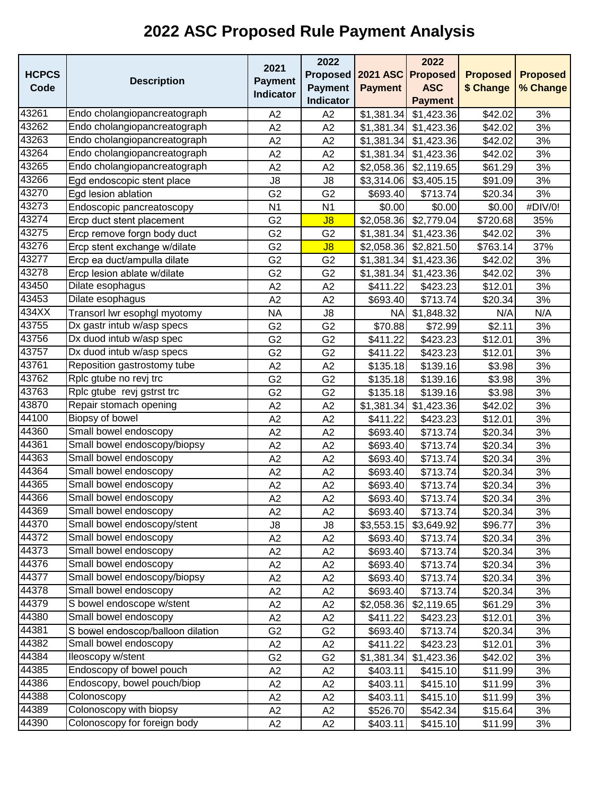|              |                                   |                                    | 2022            |                 | 2022            |                 |                 |
|--------------|-----------------------------------|------------------------------------|-----------------|-----------------|-----------------|-----------------|-----------------|
| <b>HCPCS</b> | <b>Description</b>                | 2021                               | <b>Proposed</b> | <b>2021 ASC</b> | <b>Proposed</b> | <b>Proposed</b> | <b>Proposed</b> |
| Code         |                                   | <b>Payment</b><br><b>Indicator</b> | <b>Payment</b>  | <b>Payment</b>  | <b>ASC</b>      | \$ Change       | % Change        |
|              |                                   |                                    | Indicator       |                 | <b>Payment</b>  |                 |                 |
| 43261        | Endo cholangiopancreatograph      | A2                                 | A2              | \$1,381.34      | \$1,423.36      | \$42.02         | 3%              |
| 43262        | Endo cholangiopancreatograph      | A2                                 | A2              | \$1,381.34      | \$1,423.36      | \$42.02         | 3%              |
| 43263        | Endo cholangiopancreatograph      | A2                                 | A2              | \$1,381.34      | \$1,423.36      | \$42.02         | 3%              |
| 43264        | Endo cholangiopancreatograph      | A2                                 | A <sub>2</sub>  | \$1,381.34      | \$1,423.36      | \$42.02         | 3%              |
| 43265        | Endo cholangiopancreatograph      | A2                                 | A2              | \$2,058.36      | \$2,119.65      | \$61.29         | 3%              |
| 43266        | Egd endoscopic stent place        | J8                                 | J8              | \$3,314.06      | \$3,405.15      | \$91.09         | 3%              |
| 43270        | Egd lesion ablation               | G <sub>2</sub>                     | G <sub>2</sub>  | \$693.40        | \$713.74        | \$20.34         | 3%              |
| 43273        | Endoscopic pancreatoscopy         | N <sub>1</sub>                     | N <sub>1</sub>  | \$0.00          | \$0.00          | \$0.00          | #DIV/0!         |
| 43274        | Ercp duct stent placement         | G <sub>2</sub>                     | J8              | \$2,058.36      | \$2,779.04      | \$720.68        | 35%             |
| 43275        | Ercp remove forgn body duct       | G <sub>2</sub>                     | G <sub>2</sub>  | \$1,381.34      | \$1,423.36      | \$42.02         | 3%              |
| 43276        | Ercp stent exchange w/dilate      | G <sub>2</sub>                     | J8              | \$2,058.36      | \$2,821.50      | \$763.14        | 37%             |
| 43277        | Ercp ea duct/ampulla dilate       | G <sub>2</sub>                     | G <sub>2</sub>  | \$1,381.34      | \$1,423.36      | \$42.02         | 3%              |
| 43278        | Ercp lesion ablate w/dilate       | G <sub>2</sub>                     | G <sub>2</sub>  | \$1,381.34      | \$1,423.36      | \$42.02         | 3%              |
| 43450        | Dilate esophagus                  | A2                                 | A2              | \$411.22        | \$423.23        | \$12.01         | 3%              |
| 43453        | Dilate esophagus                  | A2                                 | A2              | \$693.40        | \$713.74        | \$20.34         | 3%              |
| 434XX        | Transorl lwr esophgl myotomy      | <b>NA</b>                          | J8              | <b>NA</b>       | \$1,848.32      | N/A             | N/A             |
| 43755        | Dx gastr intub w/asp specs        | G <sub>2</sub>                     | G <sub>2</sub>  | \$70.88         | \$72.99         | \$2.11          | 3%              |
| 43756        | Dx duod intub w/asp spec          | G <sub>2</sub>                     | G <sub>2</sub>  | \$411.22        | \$423.23        | \$12.01         | 3%              |
| 43757        | Dx duod intub w/asp specs         | G <sub>2</sub>                     | G <sub>2</sub>  | \$411.22        | \$423.23        | \$12.01         | 3%              |
| 43761        | Reposition gastrostomy tube       | A2                                 | A2              | \$135.18        | \$139.16        | \$3.98          | 3%              |
| 43762        | Rplc gtube no revj trc            | G <sub>2</sub>                     | G <sub>2</sub>  | \$135.18        | \$139.16        | \$3.98          | 3%              |
| 43763        | Rplc gtube revj gstrst trc        | G <sub>2</sub>                     | G <sub>2</sub>  | \$135.18        | \$139.16        | \$3.98          | 3%              |
| 43870        | Repair stomach opening            | A2                                 | A2              | \$1,381.34      | \$1,423.36      | \$42.02         | 3%              |
| 44100        | Biopsy of bowel                   | A2                                 | A2              | \$411.22        | \$423.23        | \$12.01         | 3%              |
| 44360        | Small bowel endoscopy             | A2                                 | A2              | \$693.40        | \$713.74        | \$20.34         | 3%              |
| 44361        | Small bowel endoscopy/biopsy      | A2                                 | A2              | \$693.40        | \$713.74        | \$20.34         | 3%              |
| 44363        | Small bowel endoscopy             | A2                                 | A2              | \$693.40        | \$713.74        | \$20.34         | 3%              |
| 44364        | Small bowel endoscopy             | A2                                 | A2              | \$693.40        | \$713.74        | \$20.34         | 3%              |
| 44365        | Small bowel endoscopy             | A2                                 | A2              | \$693.40        | \$713.74        | \$20.34         | 3%              |
| 44366        | Small bowel endoscopy             | A2                                 | A2              | \$693.40        | \$713.74        | \$20.34         | 3%              |
| 44369        | Small bowel endoscopy             | A <sub>2</sub>                     | A <sub>2</sub>  | \$693.40        | \$713.74]       | \$20.34         | 3%              |
| 44370        | Small bowel endoscopy/stent       | J8                                 | J8              | \$3,553.15      | \$3,649.92      | \$96.77         | 3%              |
| 44372        | Small bowel endoscopy             | A2                                 | A2              | \$693.40        | \$713.74        | \$20.34         | 3%              |
| 44373        | Small bowel endoscopy             | A2                                 | A2              | \$693.40        | \$713.74        | \$20.34         | 3%              |
| 44376        | Small bowel endoscopy             | A2                                 | A <sub>2</sub>  | \$693.40        | \$713.74        | \$20.34         | 3%              |
| 44377        | Small bowel endoscopy/biopsy      | A <sub>2</sub>                     | A <sub>2</sub>  | \$693.40        | \$713.74        | \$20.34         | 3%              |
| 44378        | Small bowel endoscopy             | A <sub>2</sub>                     | A <sub>2</sub>  | \$693.40        | \$713.74        | \$20.34         | 3%              |
| 44379        | S bowel endoscope w/stent         | A2                                 | A2              | \$2,058.36      | \$2,119.65      | \$61.29         | 3%              |
| 44380        | Small bowel endoscopy             | A2                                 | A2              | \$411.22        | \$423.23        | \$12.01         | 3%              |
| 44381        | S bowel endoscop/balloon dilation | G <sub>2</sub>                     | G <sub>2</sub>  | \$693.40        | \$713.74        | \$20.34         | 3%              |
| 44382        | Small bowel endoscopy             | A <sub>2</sub>                     | A <sub>2</sub>  | \$411.22        | \$423.23        | \$12.01         | 3%              |
| 44384        | lleoscopy w/stent                 | G <sub>2</sub>                     | G <sub>2</sub>  | \$1,381.34      | \$1,423.36      | \$42.02         | 3%              |
| 44385        | Endoscopy of bowel pouch          | A2                                 | A2              | \$403.11        | \$415.10        | \$11.99         | 3%              |
| 44386        | Endoscopy, bowel pouch/biop       | A2                                 | A2              | \$403.11        | \$415.10        | \$11.99         | 3%              |
| 44388        | Colonoscopy                       | A2                                 | A <sub>2</sub>  | \$403.11        | \$415.10        | \$11.99         | 3%              |
| 44389        | Colonoscopy with biopsy           | A2                                 | A2              | \$526.70        | \$542.34        | \$15.64         | 3%              |
| 44390        | Colonoscopy for foreign body      | A <sub>2</sub>                     | A <sub>2</sub>  | \$403.11        | \$415.10        | \$11.99         | 3%              |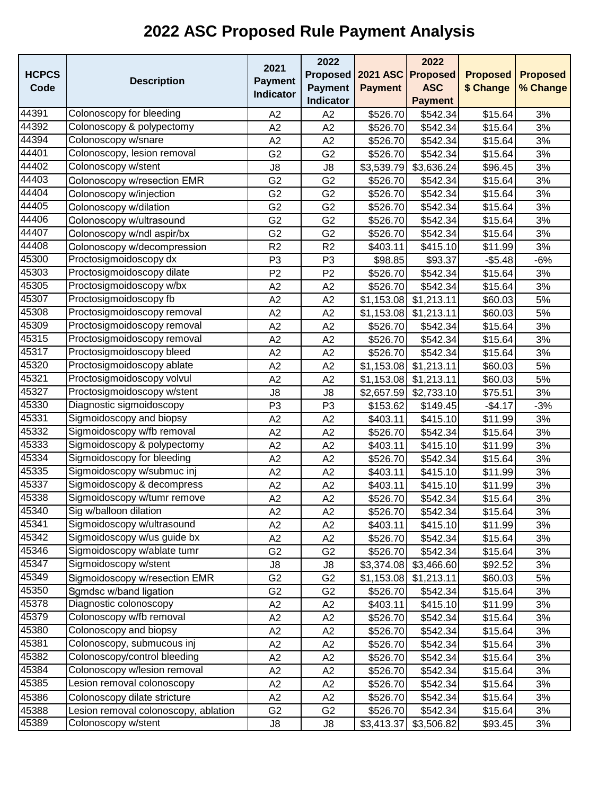|              |                                      |                                    | 2022             |                 | 2022            |                 |                 |
|--------------|--------------------------------------|------------------------------------|------------------|-----------------|-----------------|-----------------|-----------------|
| <b>HCPCS</b> |                                      | 2021                               | <b>Proposed</b>  | <b>2021 ASC</b> | <b>Proposed</b> | <b>Proposed</b> | <b>Proposed</b> |
| Code         | <b>Description</b>                   | <b>Payment</b><br><b>Indicator</b> | <b>Payment</b>   | <b>Payment</b>  | <b>ASC</b>      | \$ Change       | % Change        |
|              |                                      |                                    | <b>Indicator</b> |                 | <b>Payment</b>  |                 |                 |
| 44391        | Colonoscopy for bleeding             | A2                                 | A2               | \$526.70        | \$542.34        | \$15.64         | 3%              |
| 44392        | Colonoscopy & polypectomy            | A <sub>2</sub>                     | A <sub>2</sub>   | \$526.70        | \$542.34        | \$15.64         | 3%              |
| 44394        | Colonoscopy w/snare                  | A2                                 | A2               | \$526.70        | \$542.34        | \$15.64         | 3%              |
| 44401        | Colonoscopy, lesion removal          | G <sub>2</sub>                     | G <sub>2</sub>   | \$526.70        | \$542.34        | \$15.64         | 3%              |
| 44402        | Colonoscopy w/stent                  | J8                                 | J8               | \$3,539.79      | \$3,636.24      | \$96.45         | 3%              |
| 44403        | Colonoscopy w/resection EMR          | G <sub>2</sub>                     | G <sub>2</sub>   | \$526.70        | \$542.34        | \$15.64         | 3%              |
| 44404        | Colonoscopy w/injection              | G <sub>2</sub>                     | G <sub>2</sub>   | \$526.70        | \$542.34        | \$15.64         | 3%              |
| 44405        | Colonoscopy w/dilation               | G <sub>2</sub>                     | G <sub>2</sub>   | \$526.70        | \$542.34        | \$15.64         | 3%              |
| 44406        | Colonoscopy w/ultrasound             | G <sub>2</sub>                     | G <sub>2</sub>   | \$526.70        | \$542.34        | \$15.64         | 3%              |
| 44407        | Colonoscopy w/ndl aspir/bx           | G <sub>2</sub>                     | G <sub>2</sub>   | \$526.70        | \$542.34        | \$15.64         | 3%              |
| 44408        | Colonoscopy w/decompression          | R <sub>2</sub>                     | R <sub>2</sub>   | \$403.11        | \$415.10        | \$11.99         | 3%              |
| 45300        | Proctosigmoidoscopy dx               | P <sub>3</sub>                     | P3               | \$98.85         | \$93.37         | $-$5.48$        | $-6%$           |
| 45303        | Proctosigmoidoscopy dilate           | P <sub>2</sub>                     | P <sub>2</sub>   | \$526.70        | \$542.34        | \$15.64         | 3%              |
| 45305        | Proctosigmoidoscopy w/bx             | A2                                 | A <sub>2</sub>   | \$526.70        | \$542.34        | \$15.64         | 3%              |
| 45307        | Proctosigmoidoscopy fb               | A2                                 | A2               | \$1,153.08      | \$1,213.11      | \$60.03         | 5%              |
| 45308        | Proctosigmoidoscopy removal          | A2                                 | A2               | \$1,153.08      | \$1,213.11      | \$60.03         | 5%              |
| 45309        | Proctosigmoidoscopy removal          | A2                                 | A2               | \$526.70        | \$542.34        | \$15.64         | 3%              |
| 45315        | Proctosigmoidoscopy removal          | A2                                 | A2               | \$526.70        | \$542.34        | \$15.64         | 3%              |
| 45317        | Proctosigmoidoscopy bleed            | A2                                 | A2               | \$526.70        | \$542.34        | \$15.64         | 3%              |
| 45320        | Proctosigmoidoscopy ablate           | A <sub>2</sub>                     | A2               | \$1,153.08      | \$1,213.11      | \$60.03         | 5%              |
| 45321        | Proctosigmoidoscopy volvul           | A2                                 | A2               | \$1,153.08      | \$1,213.11      | \$60.03         | 5%              |
| 45327        | Proctosigmoidoscopy w/stent          | J8                                 | J8               | \$2,657.59      | \$2,733.10      | \$75.51         | 3%              |
| 45330        | Diagnostic sigmoidoscopy             | P <sub>3</sub>                     | P <sub>3</sub>   | \$153.62        | \$149.45        | $-$4.17$        | $-3%$           |
| 45331        | Sigmoidoscopy and biopsy             | A2                                 | A2               | \$403.11        | \$415.10        | \$11.99         | 3%              |
| 45332        | Sigmoidoscopy w/fb removal           | A2                                 | A2               | \$526.70        | \$542.34        | \$15.64         | 3%              |
| 45333        | Sigmoidoscopy & polypectomy          | A2                                 | A2               | \$403.11        | \$415.10        | \$11.99         | 3%              |
| 45334        | Sigmoidoscopy for bleeding           | A2                                 | A2               | \$526.70        | \$542.34        | \$15.64         | 3%              |
| 45335        | Sigmoidoscopy w/submuc inj           | A2                                 | A2               | \$403.11        | \$415.10        | \$11.99         | 3%              |
| 45337        | Sigmoidoscopy & decompress           | A <sub>2</sub>                     | A <sub>2</sub>   | \$403.11        | \$415.10        | \$11.99         | 3%              |
| 45338        | Sigmoidoscopy w/tumr remove          | A2                                 | A2               | \$526.70        | \$542.34        | \$15.64         | 3%              |
| 45340        | Sig w/balloon dilation               | A2                                 | A2               | \$526.70        | \$542.34        | \$15.64         | 3%              |
| 45341        | Sigmoidoscopy w/ultrasound           | A2                                 | A <sub>2</sub>   | \$403.11        | \$415.10        | \$11.99         | 3%              |
| 45342        | Sigmoidoscopy w/us guide bx          | A <sub>2</sub>                     | A <sub>2</sub>   | \$526.70        | \$542.34        | \$15.64         | 3%              |
| 45346        | Sigmoidoscopy w/ablate tumr          | G <sub>2</sub>                     | G <sub>2</sub>   | \$526.70        | \$542.34        | \$15.64         | 3%              |
| 45347        | Sigmoidoscopy w/stent                | J8                                 | J8               | \$3,374.08      | \$3,466.60      | \$92.52         | 3%              |
| 45349        | Sigmoidoscopy w/resection EMR        | G <sub>2</sub>                     | G <sub>2</sub>   | \$1,153.08      | \$1,213.11      | \$60.03         | 5%              |
| 45350        | Sgmdsc w/band ligation               | G <sub>2</sub>                     | G <sub>2</sub>   | \$526.70        | \$542.34        | \$15.64         | 3%              |
| 45378        | Diagnostic colonoscopy               | A <sub>2</sub>                     | A <sub>2</sub>   | \$403.11        | \$415.10        | \$11.99         | 3%              |
| 45379        | Colonoscopy w/fb removal             | A2                                 | A2               | \$526.70        | \$542.34        | \$15.64         | 3%              |
| 45380        | Colonoscopy and biopsy               | A <sub>2</sub>                     | A <sub>2</sub>   | \$526.70        | \$542.34        | \$15.64         | 3%              |
| 45381        | Colonoscopy, submucous inj           | A <sub>2</sub>                     | A2               | \$526.70        | \$542.34        | \$15.64         | 3%              |
| 45382        | Colonoscopy/control bleeding         | A <sub>2</sub>                     | A <sub>2</sub>   | \$526.70        | \$542.34        | \$15.64         | 3%              |
| 45384        | Colonoscopy w/lesion removal         | A <sub>2</sub>                     | A <sub>2</sub>   | \$526.70        | \$542.34        | \$15.64         | 3%              |
| 45385        | Lesion removal colonoscopy           | A2                                 | A2               | \$526.70        | \$542.34        | \$15.64         | 3%              |
| 45386        | Colonoscopy dilate stricture         | A <sub>2</sub>                     | A <sub>2</sub>   | \$526.70        | \$542.34        | \$15.64         | 3%              |
| 45388        | Lesion removal colonoscopy, ablation | G <sub>2</sub>                     | G <sub>2</sub>   | \$526.70        | \$542.34        | \$15.64         | 3%              |
| 45389        | Colonoscopy w/stent                  | J8                                 | J8               | \$3,413.37      | \$3,506.82      | \$93.45         | 3%              |